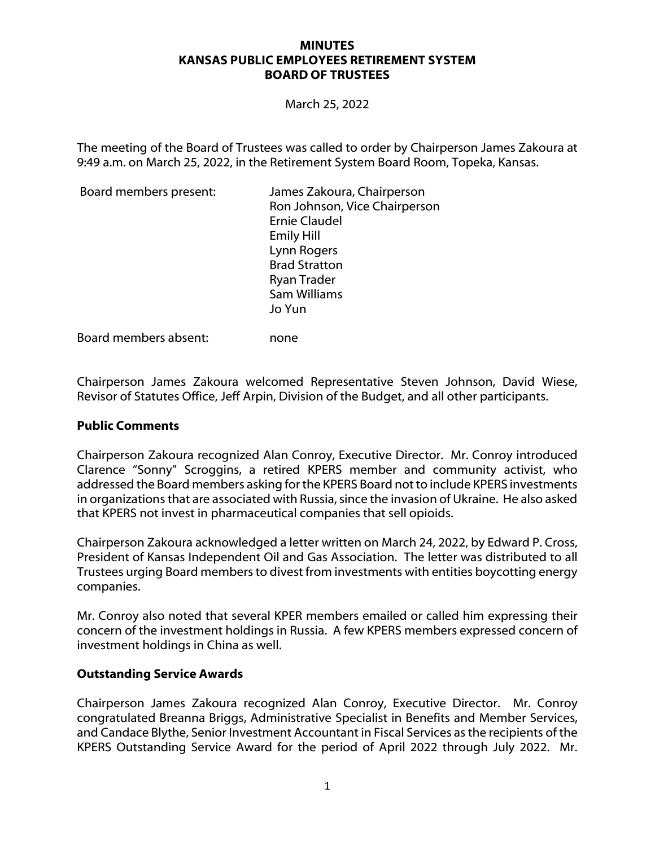### **MINUTES KANSAS PUBLIC EMPLOYEES RETIREMENT SYSTEM BOARD OF TRUSTEES**

March 25, 2022

The meeting of the Board of Trustees was called to order by Chairperson James Zakoura at 9:49 a.m. on March 25, 2022, in the Retirement System Board Room, Topeka, Kansas.

| Board members present: | James Zakoura, Chairperson<br>Ron Johnson, Vice Chairperson<br><b>Ernie Claudel</b><br><b>Emily Hill</b><br>Lynn Rogers<br><b>Brad Stratton</b><br>Ryan Trader |
|------------------------|----------------------------------------------------------------------------------------------------------------------------------------------------------------|
|                        | Sam Williams<br>Jo Yun                                                                                                                                         |
|                        |                                                                                                                                                                |

Board members absent: none

Chairperson James Zakoura welcomed Representative Steven Johnson, David Wiese, Revisor of Statutes Office, Jeff Arpin, Division of the Budget, and all other participants.

### **Public Comments**

Chairperson Zakoura recognized Alan Conroy, Executive Director. Mr. Conroy introduced Clarence "Sonny" Scroggins, a retired KPERS member and community activist, who addressed the Board members asking for the KPERS Board not to include KPERS investments in organizations that are associated with Russia, since the invasion of Ukraine. He also asked that KPERS not invest in pharmaceutical companies that sell opioids.

Chairperson Zakoura acknowledged a letter written on March 24, 2022, by Edward P. Cross, President of Kansas Independent Oil and Gas Association. The letter was distributed to all Trustees urging Board members to divest from investments with entities boycotting energy companies.

Mr. Conroy also noted that several KPER members emailed or called him expressing their concern of the investment holdings in Russia. A few KPERS members expressed concern of investment holdings in China as well.

### **Outstanding Service Awards**

Chairperson James Zakoura recognized Alan Conroy, Executive Director. Mr. Conroy congratulated Breanna Briggs, Administrative Specialist in Benefits and Member Services, and Candace Blythe, Senior Investment Accountant in Fiscal Services as the recipients of the KPERS Outstanding Service Award for the period of April 2022 through July 2022. Mr.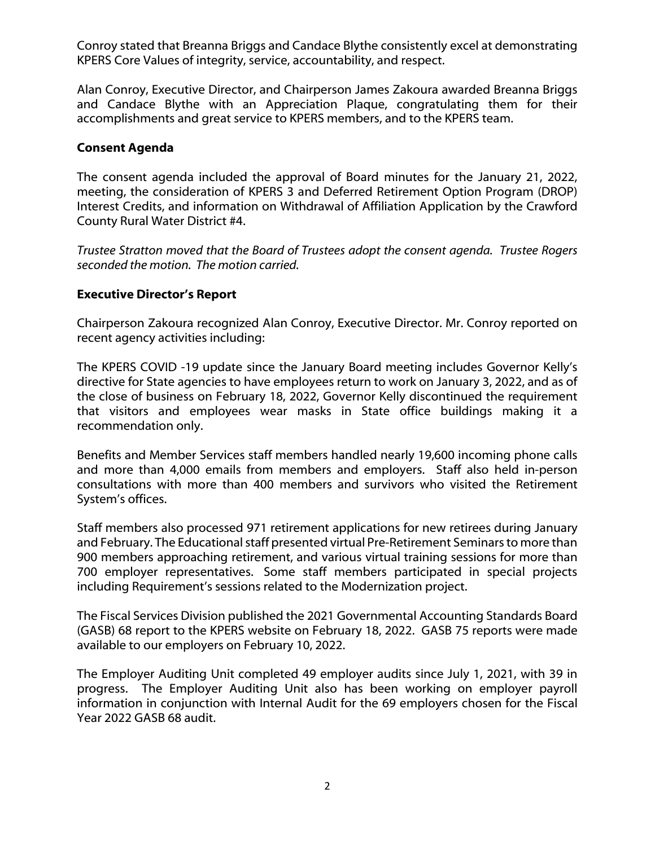Conroy stated that Breanna Briggs and Candace Blythe consistently excel at demonstrating KPERS Core Values of integrity, service, accountability, and respect.

Alan Conroy, Executive Director, and Chairperson James Zakoura awarded Breanna Briggs and Candace Blythe with an Appreciation Plaque, congratulating them for their accomplishments and great service to KPERS members, and to the KPERS team.

### **Consent Agenda**

The consent agenda included the approval of Board minutes for the January 21, 2022, meeting, the consideration of KPERS 3 and Deferred Retirement Option Program (DROP) Interest Credits, and information on Withdrawal of Affiliation Application by the Crawford County Rural Water District #4.

*Trustee Stratton moved that the Board of Trustees adopt the consent agenda. Trustee Rogers seconded the motion. The motion carried.*

### **Executive Director's Report**

Chairperson Zakoura recognized Alan Conroy, Executive Director. Mr. Conroy reported on recent agency activities including:

The KPERS COVID -19 update since the January Board meeting includes Governor Kelly's directive for State agencies to have employees return to work on January 3, 2022, and as of the close of business on February 18, 2022, Governor Kelly discontinued the requirement that visitors and employees wear masks in State office buildings making it a recommendation only.

Benefits and Member Services staff members handled nearly 19,600 incoming phone calls and more than 4,000 emails from members and employers. Staff also held in-person consultations with more than 400 members and survivors who visited the Retirement System's offices.

Staff members also processed 971 retirement applications for new retirees during January and February. The Educational staff presented virtual Pre-Retirement Seminars to more than 900 members approaching retirement, and various virtual training sessions for more than 700 employer representatives. Some staff members participated in special projects including Requirement's sessions related to the Modernization project.

The Fiscal Services Division published the 2021 Governmental Accounting Standards Board (GASB) 68 report to the KPERS website on February 18, 2022. GASB 75 reports were made available to our employers on February 10, 2022.

The Employer Auditing Unit completed 49 employer audits since July 1, 2021, with 39 in progress. The Employer Auditing Unit also has been working on employer payroll information in conjunction with Internal Audit for the 69 employers chosen for the Fiscal Year 2022 GASB 68 audit.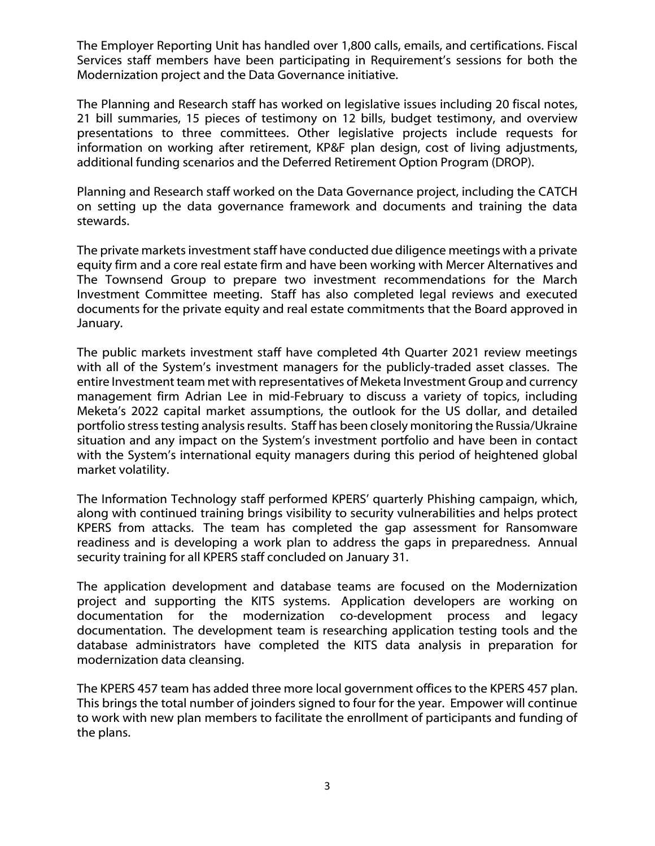The Employer Reporting Unit has handled over 1,800 calls, emails, and certifications. Fiscal Services staff members have been participating in Requirement's sessions for both the Modernization project and the Data Governance initiative.

The Planning and Research staff has worked on legislative issues including 20 fiscal notes, 21 bill summaries, 15 pieces of testimony on 12 bills, budget testimony, and overview presentations to three committees. Other legislative projects include requests for information on working after retirement, KP&F plan design, cost of living adjustments, additional funding scenarios and the Deferred Retirement Option Program (DROP).

Planning and Research staff worked on the Data Governance project, including the CATCH on setting up the data governance framework and documents and training the data stewards.

The private markets investment staff have conducted due diligence meetings with a private equity firm and a core real estate firm and have been working with Mercer Alternatives and The Townsend Group to prepare two investment recommendations for the March Investment Committee meeting. Staff has also completed legal reviews and executed documents for the private equity and real estate commitments that the Board approved in January.

The public markets investment staff have completed 4th Quarter 2021 review meetings with all of the System's investment managers for the publicly-traded asset classes. The entire Investment team met with representatives of Meketa Investment Group and currency management firm Adrian Lee in mid-February to discuss a variety of topics, including Meketa's 2022 capital market assumptions, the outlook for the US dollar, and detailed portfolio stress testing analysis results. Staff has been closely monitoring the Russia/Ukraine situation and any impact on the System's investment portfolio and have been in contact with the System's international equity managers during this period of heightened global market volatility.

The Information Technology staff performed KPERS' quarterly Phishing campaign, which, along with continued training brings visibility to security vulnerabilities and helps protect KPERS from attacks. The team has completed the gap assessment for Ransomware readiness and is developing a work plan to address the gaps in preparedness. Annual security training for all KPERS staff concluded on January 31.

The application development and database teams are focused on the Modernization project and supporting the KITS systems. Application developers are working on documentation for the modernization co-development process and legacy documentation. The development team is researching application testing tools and the database administrators have completed the KITS data analysis in preparation for modernization data cleansing.

The KPERS 457 team has added three more local government offices to the KPERS 457 plan. This brings the total number of joinders signed to four for the year. Empower will continue to work with new plan members to facilitate the enrollment of participants and funding of the plans.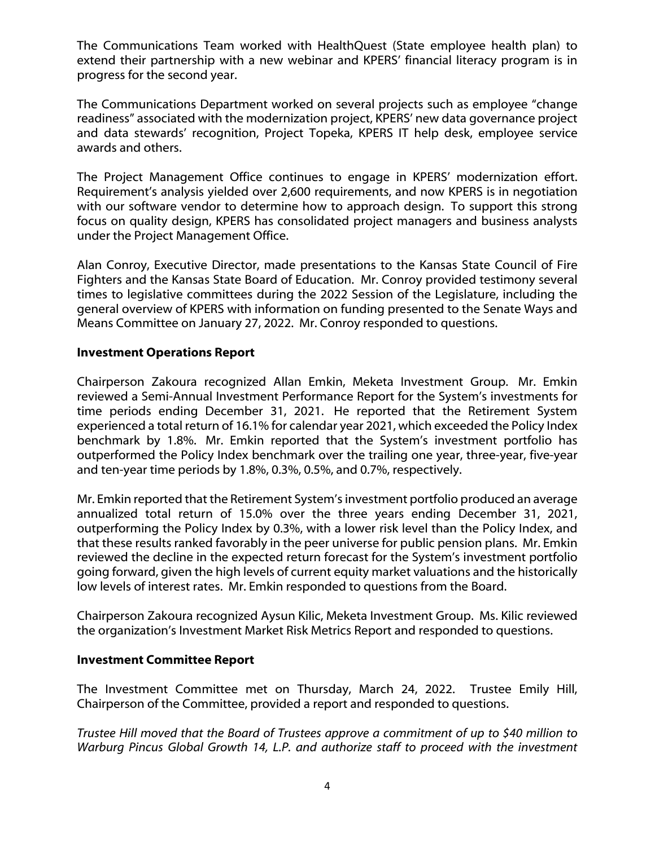The Communications Team worked with HealthQuest (State employee health plan) to extend their partnership with a new webinar and KPERS' financial literacy program is in progress for the second year.

The Communications Department worked on several projects such as employee "change readiness" associated with the modernization project, KPERS' new data governance project and data stewards' recognition, Project Topeka, KPERS IT help desk, employee service awards and others.

The Project Management Office continues to engage in KPERS' modernization effort. Requirement's analysis yielded over 2,600 requirements, and now KPERS is in negotiation with our software vendor to determine how to approach design. To support this strong focus on quality design, KPERS has consolidated project managers and business analysts under the Project Management Office.

Alan Conroy, Executive Director, made presentations to the Kansas State Council of Fire Fighters and the Kansas State Board of Education. Mr. Conroy provided testimony several times to legislative committees during the 2022 Session of the Legislature, including the general overview of KPERS with information on funding presented to the Senate Ways and Means Committee on January 27, 2022. Mr. Conroy responded to questions.

# **Investment Operations Report**

Chairperson Zakoura recognized Allan Emkin, Meketa Investment Group. Mr. Emkin reviewed a Semi-Annual Investment Performance Report for the System's investments for time periods ending December 31, 2021. He reported that the Retirement System experienced a total return of 16.1% for calendar year 2021, which exceeded the Policy Index benchmark by 1.8%. Mr. Emkin reported that the System's investment portfolio has outperformed the Policy Index benchmark over the trailing one year, three-year, five-year and ten-year time periods by 1.8%, 0.3%, 0.5%, and 0.7%, respectively.

Mr. Emkin reported that the Retirement System's investment portfolio produced an average annualized total return of 15.0% over the three years ending December 31, 2021, outperforming the Policy Index by 0.3%, with a lower risk level than the Policy Index, and that these results ranked favorably in the peer universe for public pension plans. Mr. Emkin reviewed the decline in the expected return forecast for the System's investment portfolio going forward, given the high levels of current equity market valuations and the historically low levels of interest rates. Mr. Emkin responded to questions from the Board.

Chairperson Zakoura recognized Aysun Kilic, Meketa Investment Group. Ms. Kilic reviewed the organization's Investment Market Risk Metrics Report and responded to questions.

# **Investment Committee Report**

The Investment Committee met on Thursday, March 24, 2022. Trustee Emily Hill, Chairperson of the Committee, provided a report and responded to questions.

*Trustee Hill moved that the Board of Trustees approve a commitment of up to \$40 million to Warburg Pincus Global Growth 14, L.P. and authorize staff to proceed with the investment*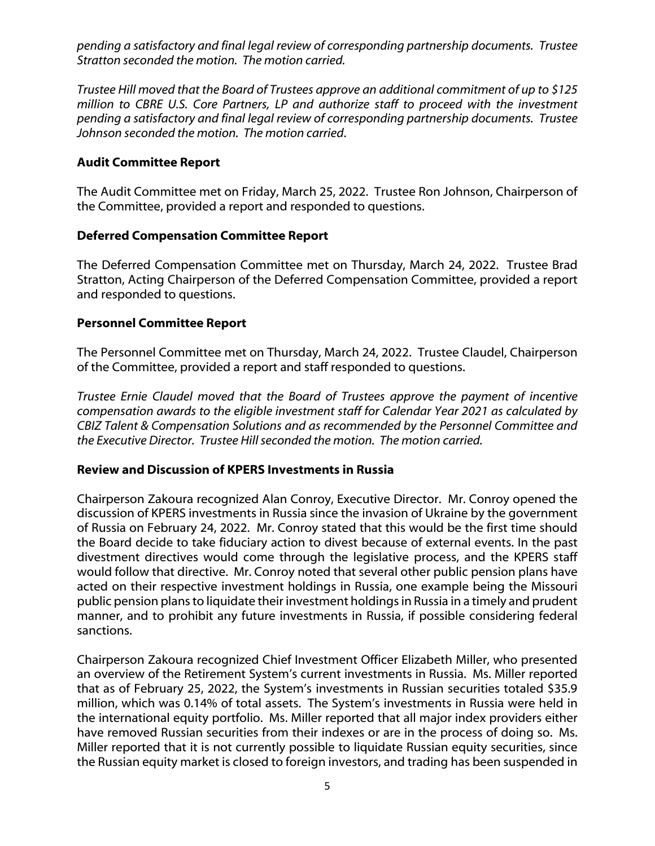*pending a satisfactory and final legal review of corresponding partnership documents. Trustee Stratton seconded the motion. The motion carried.*

*Trustee Hill moved that the Board of Trustees approve an additional commitment of up to \$125 million to CBRE U.S. Core Partners, LP and authorize staff to proceed with the investment pending a satisfactory and final legal review of corresponding partnership documents. Trustee Johnson seconded the motion. The motion carried*.

### **Audit Committee Report**

The Audit Committee met on Friday, March 25, 2022. Trustee Ron Johnson, Chairperson of the Committee, provided a report and responded to questions.

### **Deferred Compensation Committee Report**

The Deferred Compensation Committee met on Thursday, March 24, 2022. Trustee Brad Stratton, Acting Chairperson of the Deferred Compensation Committee, provided a report and responded to questions.

### **Personnel Committee Report**

The Personnel Committee met on Thursday, March 24, 2022. Trustee Claudel, Chairperson of the Committee, provided a report and staff responded to questions.

*Trustee Ernie Claudel moved that the Board of Trustees approve the payment of incentive compensation awards to the eligible investment staff for Calendar Year 2021 as calculated by CBIZ Talent & Compensation Solutions and as recommended by the Personnel Committee and the Executive Director. Trustee Hillseconded the motion. The motion carried.*

### **Review and Discussion of KPERS Investments in Russia**

Chairperson Zakoura recognized Alan Conroy, Executive Director. Mr. Conroy opened the discussion of KPERS investments in Russia since the invasion of Ukraine by the government of Russia on February 24, 2022. Mr. Conroy stated that this would be the first time should the Board decide to take fiduciary action to divest because of external events. In the past divestment directives would come through the legislative process, and the KPERS staff would follow that directive. Mr. Conroy noted that several other public pension plans have acted on their respective investment holdings in Russia, one example being the Missouri public pension plans to liquidate their investment holdings in Russia in a timely and prudent manner, and to prohibit any future investments in Russia, if possible considering federal sanctions.

Chairperson Zakoura recognized Chief Investment Officer Elizabeth Miller, who presented an overview of the Retirement System's current investments in Russia. Ms. Miller reported that as of February 25, 2022, the System's investments in Russian securities totaled \$35.9 million, which was 0.14% of total assets. The System's investments in Russia were held in the international equity portfolio. Ms. Miller reported that all major index providers either have removed Russian securities from their indexes or are in the process of doing so. Ms. Miller reported that it is not currently possible to liquidate Russian equity securities, since the Russian equity market is closed to foreign investors, and trading has been suspended in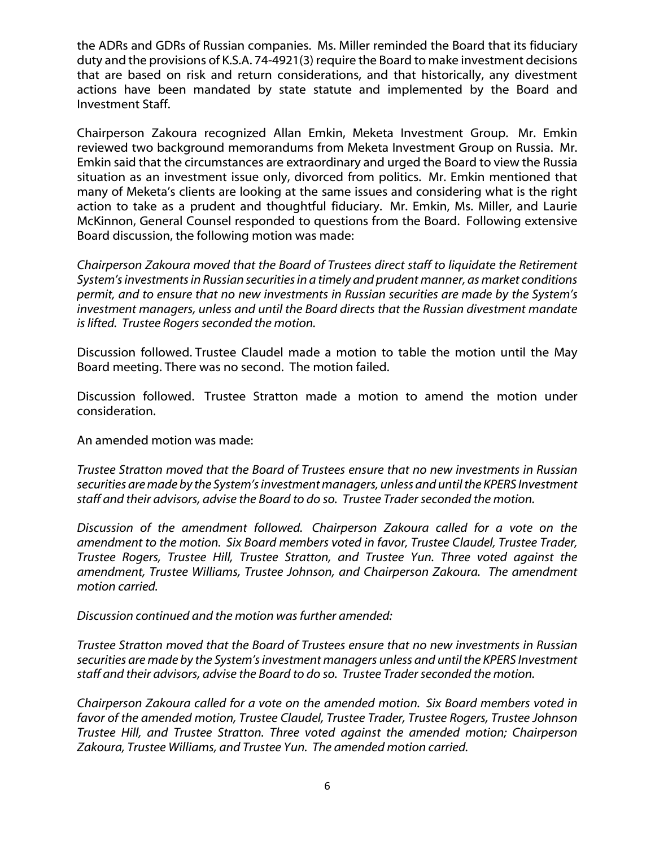the ADRs and GDRs of Russian companies. Ms. Miller reminded the Board that its fiduciary duty and the provisions of K.S.A. 74-4921(3) require the Board to make investment decisions that are based on risk and return considerations, and that historically, any divestment actions have been mandated by state statute and implemented by the Board and Investment Staff.

Chairperson Zakoura recognized Allan Emkin, Meketa Investment Group. Mr. Emkin reviewed two background memorandums from Meketa Investment Group on Russia. Mr. Emkin said that the circumstances are extraordinary and urged the Board to view the Russia situation as an investment issue only, divorced from politics. Mr. Emkin mentioned that many of Meketa's clients are looking at the same issues and considering what is the right action to take as a prudent and thoughtful fiduciary. Mr. Emkin, Ms. Miller, and Laurie McKinnon, General Counsel responded to questions from the Board. Following extensive Board discussion, the following motion was made:

*Chairperson Zakoura moved that the Board of Trustees direct staff to liquidate the Retirement System's investments in Russian securities in a timely and prudent manner, as market conditions permit, and to ensure that no new investments in Russian securities are made by the System's investment managers, unless and until the Board directs that the Russian divestment mandate is lifted. Trustee Rogers seconded the motion.*

Discussion followed. Trustee Claudel made a motion to table the motion until the May Board meeting. There was no second. The motion failed.

Discussion followed. Trustee Stratton made a motion to amend the motion under consideration.

An amended motion was made:

*Trustee Stratton moved that the Board of Trustees ensure that no new investments in Russian securities are made by the System's investment managers, unless and until the KPERS Investment staff and their advisors, advise the Board to do so. Trustee Traderseconded the motion.*

*Discussion of the amendment followed. Chairperson Zakoura called for a vote on the amendment to the motion. Six Board members voted in favor, Trustee Claudel, Trustee Trader, Trustee Rogers, Trustee Hill, Trustee Stratton, and Trustee Yun. Three voted against the amendment, Trustee Williams, Trustee Johnson, and Chairperson Zakoura. The amendment motion carried.*

*Discussion continued and the motion was further amended:*

*Trustee Stratton moved that the Board of Trustees ensure that no new investments in Russian securities are made by the System's investment managers unless and until the KPERS Investment staff and their advisors, advise the Board to do so. Trustee Traderseconded the motion.*

*Chairperson Zakoura called for a vote on the amended motion. Six Board members voted in favor of the amended motion, Trustee Claudel, Trustee Trader, Trustee Rogers, Trustee Johnson Trustee Hill, and Trustee Stratton. Three voted against the amended motion; Chairperson Zakoura, Trustee Williams, and Trustee Yun. The amended motion carried.*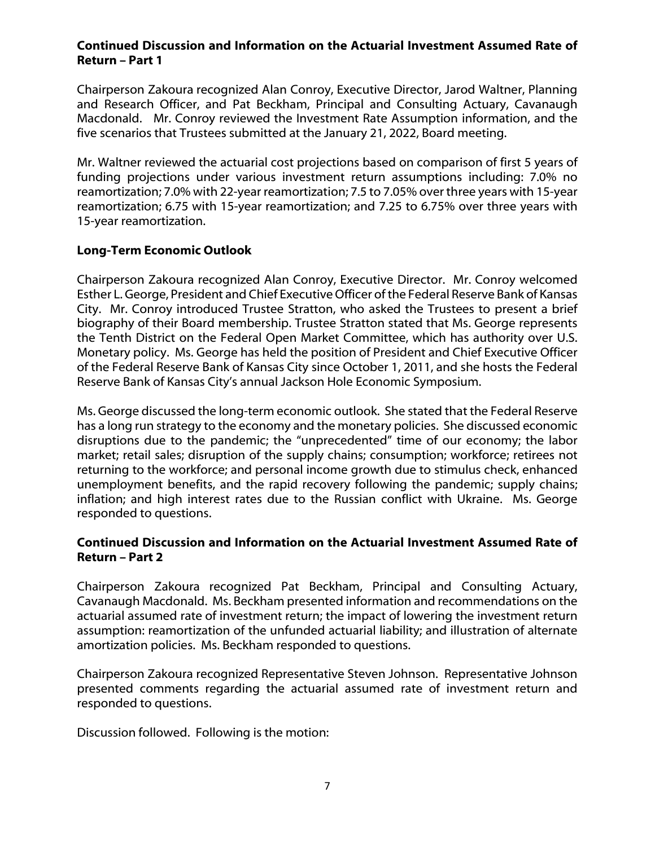### **Continued Discussion and Information on the Actuarial Investment Assumed Rate of Return – Part 1**

Chairperson Zakoura recognized Alan Conroy, Executive Director, Jarod Waltner, Planning and Research Officer, and Pat Beckham, Principal and Consulting Actuary, Cavanaugh Macdonald. Mr. Conroy reviewed the Investment Rate Assumption information, and the five scenarios that Trustees submitted at the January 21, 2022, Board meeting.

Mr. Waltner reviewed the actuarial cost projections based on comparison of first 5 years of funding projections under various investment return assumptions including: 7.0% no reamortization; 7.0% with 22-year reamortization; 7.5 to 7.05% over three years with 15-year reamortization; 6.75 with 15-year reamortization; and 7.25 to 6.75% over three years with 15-year reamortization.

# **Long-Term Economic Outlook**

Chairperson Zakoura recognized Alan Conroy, Executive Director. Mr. Conroy welcomed Esther L. George, President and Chief Executive Officer of the Federal Reserve Bank of Kansas City. Mr. Conroy introduced Trustee Stratton, who asked the Trustees to present a brief biography of their Board membership. Trustee Stratton stated that Ms. George represents the Tenth District on the Federal Open Market Committee, which has authority over U.S. Monetary policy. Ms. George has held the position of President and Chief Executive Officer of the Federal Reserve Bank of Kansas City since October 1, 2011, and she hosts the Federal Reserve Bank of Kansas City's annual Jackson Hole Economic Symposium.

Ms. George discussed the long-term economic outlook. She stated that the Federal Reserve has a long run strategy to the economy and the monetary policies. She discussed economic disruptions due to the pandemic; the "unprecedented" time of our economy; the labor market; retail sales; disruption of the supply chains; consumption; workforce; retirees not returning to the workforce; and personal income growth due to stimulus check, enhanced unemployment benefits, and the rapid recovery following the pandemic; supply chains; inflation; and high interest rates due to the Russian conflict with Ukraine. Ms. George responded to questions.

# **Continued Discussion and Information on the Actuarial Investment Assumed Rate of Return – Part 2**

Chairperson Zakoura recognized Pat Beckham, Principal and Consulting Actuary, Cavanaugh Macdonald. Ms. Beckham presented information and recommendations on the actuarial assumed rate of investment return; the impact of lowering the investment return assumption: reamortization of the unfunded actuarial liability; and illustration of alternate amortization policies. Ms. Beckham responded to questions.

Chairperson Zakoura recognized Representative Steven Johnson. Representative Johnson presented comments regarding the actuarial assumed rate of investment return and responded to questions.

Discussion followed. Following is the motion: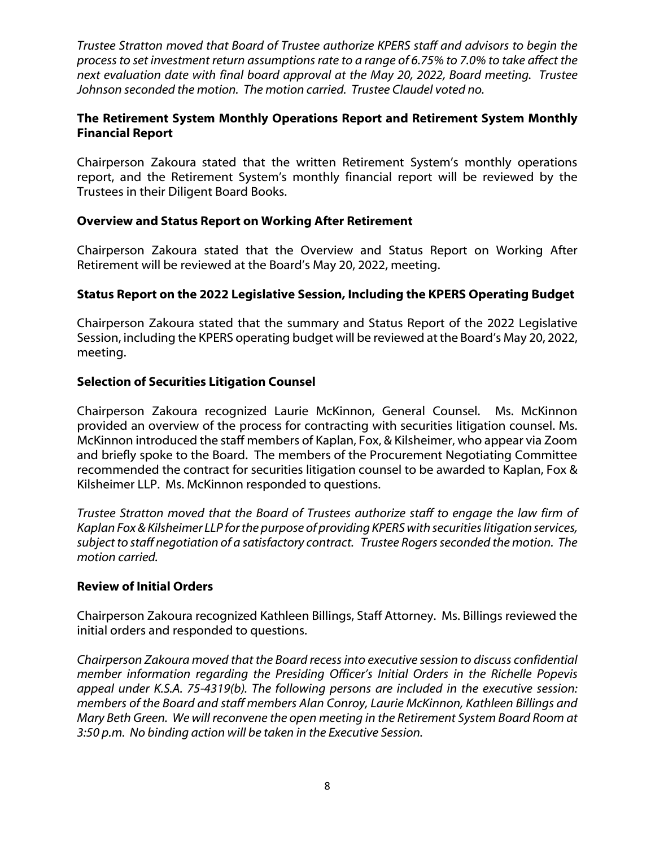*Trustee Stratton moved that Board of Trustee authorize KPERS staff and advisors to begin the process to set investment return assumptions rate to a range of 6.75% to 7.0% to take affect the next evaluation date with final board approval at the May 20, 2022, Board meeting. Trustee Johnson seconded the motion. The motion carried. Trustee Claudel voted no.* 

# **The Retirement System Monthly Operations Report and Retirement System Monthly Financial Report**

Chairperson Zakoura stated that the written Retirement System's monthly operations report, and the Retirement System's monthly financial report will be reviewed by the Trustees in their Diligent Board Books.

# **Overview and Status Report on Working After Retirement**

Chairperson Zakoura stated that the Overview and Status Report on Working After Retirement will be reviewed at the Board's May 20, 2022, meeting.

# **Status Report on the 2022 Legislative Session, Including the KPERS Operating Budget**

Chairperson Zakoura stated that the summary and Status Report of the 2022 Legislative Session, including the KPERS operating budget will be reviewed at the Board's May 20, 2022, meeting.

### **Selection of Securities Litigation Counsel**

Chairperson Zakoura recognized Laurie McKinnon, General Counsel. Ms. McKinnon provided an overview of the process for contracting with securities litigation counsel. Ms. McKinnon introduced the staff members of Kaplan, Fox, & Kilsheimer, who appear via Zoom and briefly spoke to the Board. The members of the Procurement Negotiating Committee recommended the contract for securities litigation counsel to be awarded to Kaplan, Fox & Kilsheimer LLP. Ms. McKinnon responded to questions.

*Trustee Stratton moved that the Board of Trustees authorize staff to engage the law firm of Kaplan Fox & Kilsheimer LLP for the purpose of providing KPERS with securities litigation services, subject to staff negotiation of a satisfactory contract. Trustee Rogers seconded the motion. The motion carried.*

### **Review of Initial Orders**

Chairperson Zakoura recognized Kathleen Billings, Staff Attorney. Ms. Billings reviewed the initial orders and responded to questions.

*Chairperson Zakoura moved that the Board recess into executive session to discuss confidential member information regarding the Presiding Officer's Initial Orders in the Richelle Popevis appeal under K.S.A. 75-4319(b). The following persons are included in the executive session: members of the Board and staff members Alan Conroy, Laurie McKinnon, Kathleen Billings and Mary Beth Green. We will reconvene the open meeting in the Retirement System Board Room at 3:50 p.m. No binding action will be taken in the Executive Session.*